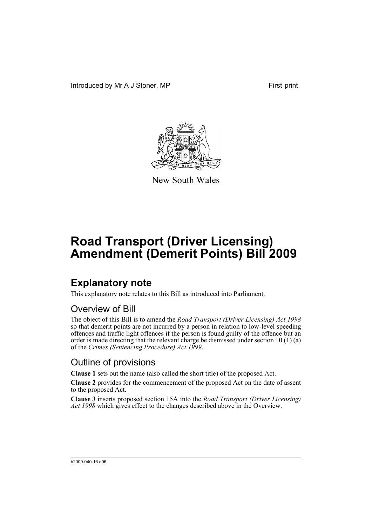Introduced by Mr A J Stoner, MP First print



New South Wales

# **Road Transport (Driver Licensing) Amendment (Demerit Points) Bill 2009**

### **Explanatory note**

This explanatory note relates to this Bill as introduced into Parliament.

#### Overview of Bill

The object of this Bill is to amend the *Road Transport (Driver Licensing) Act 1998* so that demerit points are not incurred by a person in relation to low-level speeding offences and traffic light offences if the person is found guilty of the offence but an order is made directing that the relevant charge be dismissed under section 10 (1) (a) of the *Crimes (Sentencing Procedure) Act 1999*.

#### Outline of provisions

**Clause 1** sets out the name (also called the short title) of the proposed Act.

**Clause 2** provides for the commencement of the proposed Act on the date of assent to the proposed Act.

**Clause 3** inserts proposed section 15A into the *Road Transport (Driver Licensing) Act 1998* which gives effect to the changes described above in the Overview.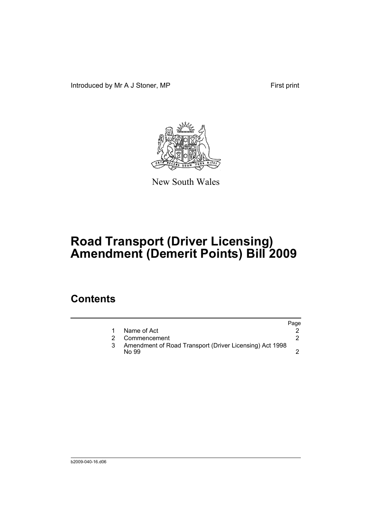Introduced by Mr A J Stoner, MP First print



New South Wales

# **Road Transport (Driver Licensing) Amendment (Demerit Points) Bill 2009**

### **Contents**

|   |                                                                  | Page |
|---|------------------------------------------------------------------|------|
|   | Name of Act                                                      |      |
| 2 | Commencement                                                     |      |
|   | Amendment of Road Transport (Driver Licensing) Act 1998<br>No 99 |      |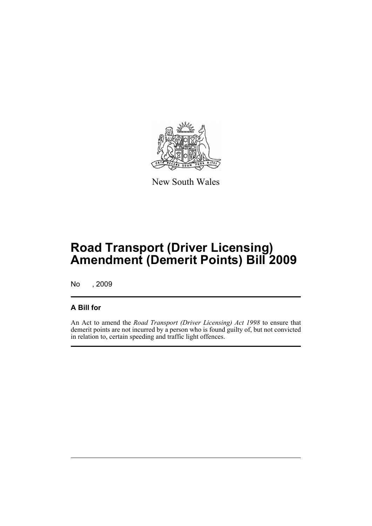

New South Wales

# **Road Transport (Driver Licensing) Amendment (Demerit Points) Bill 2009**

No , 2009

#### **A Bill for**

An Act to amend the *Road Transport (Driver Licensing) Act 1998* to ensure that demerit points are not incurred by a person who is found guilty of, but not convicted in relation to, certain speeding and traffic light offences.